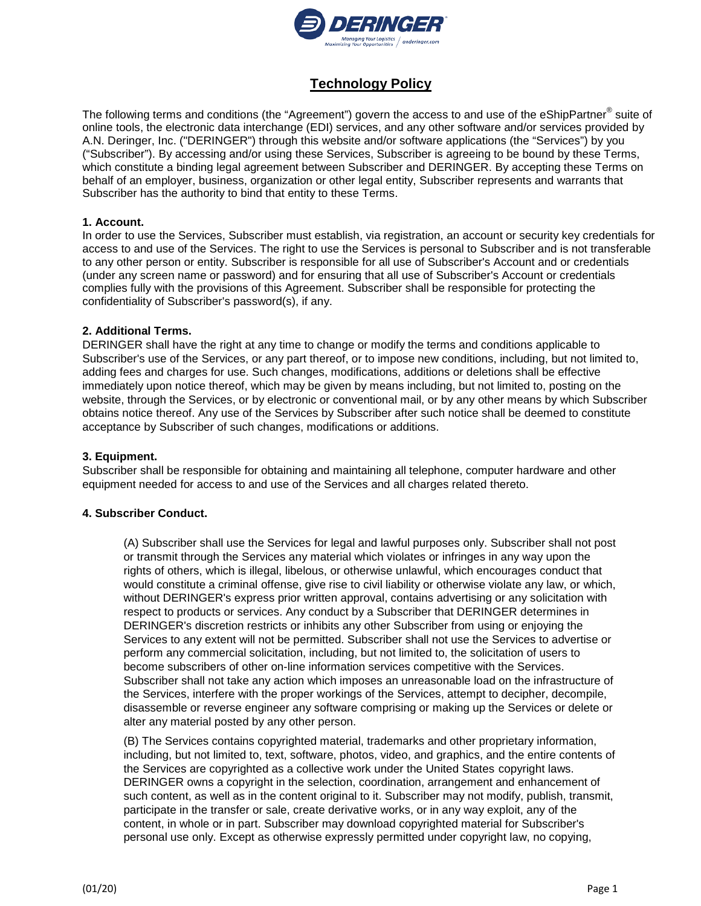

# **Technology Policy**

The following terms and conditions (the "Agreement") govern the access to and use of the eShipPartner® suite of online tools, the electronic data interchange (EDI) services, and any other software and/or services provided by A.N. Deringer, Inc. ("DERINGER") through this website and/or software applications (the "Services") by you ("Subscriber"). By accessing and/or using these Services, Subscriber is agreeing to be bound by these Terms, which constitute a binding legal agreement between Subscriber and DERINGER. By accepting these Terms on behalf of an employer, business, organization or other legal entity, Subscriber represents and warrants that Subscriber has the authority to bind that entity to these Terms.

## **1. Account.**

In order to use the Services, Subscriber must establish, via registration, an account or security key credentials for access to and use of the Services. The right to use the Services is personal to Subscriber and is not transferable to any other person or entity. Subscriber is responsible for all use of Subscriber's Account and or credentials (under any screen name or password) and for ensuring that all use of Subscriber's Account or credentials complies fully with the provisions of this Agreement. Subscriber shall be responsible for protecting the confidentiality of Subscriber's password(s), if any.

## **2. Additional Terms.**

DERINGER shall have the right at any time to change or modify the terms and conditions applicable to Subscriber's use of the Services, or any part thereof, or to impose new conditions, including, but not limited to, adding fees and charges for use. Such changes, modifications, additions or deletions shall be effective immediately upon notice thereof, which may be given by means including, but not limited to, posting on the website, through the Services, or by electronic or conventional mail, or by any other means by which Subscriber obtains notice thereof. Any use of the Services by Subscriber after such notice shall be deemed to constitute acceptance by Subscriber of such changes, modifications or additions.

## **3. Equipment.**

Subscriber shall be responsible for obtaining and maintaining all telephone, computer hardware and other equipment needed for access to and use of the Services and all charges related thereto.

## **4. Subscriber Conduct.**

(A) Subscriber shall use the Services for legal and lawful purposes only. Subscriber shall not post or transmit through the Services any material which violates or infringes in any way upon the rights of others, which is illegal, libelous, or otherwise unlawful, which encourages conduct that would constitute a criminal offense, give rise to civil liability or otherwise violate any law, or which, without DERINGER's express prior written approval, contains advertising or any solicitation with respect to products or services. Any conduct by a Subscriber that DERINGER determines in DERINGER's discretion restricts or inhibits any other Subscriber from using or enjoying the Services to any extent will not be permitted. Subscriber shall not use the Services to advertise or perform any commercial solicitation, including, but not limited to, the solicitation of users to become subscribers of other on-line information services competitive with the Services. Subscriber shall not take any action which imposes an unreasonable load on the infrastructure of the Services, interfere with the proper workings of the Services, attempt to decipher, decompile, disassemble or reverse engineer any software comprising or making up the Services or delete or alter any material posted by any other person.

(B) The Services contains copyrighted material, trademarks and other proprietary information, including, but not limited to, text, software, photos, video, and graphics, and the entire contents of the Services are copyrighted as a collective work under the United States copyright laws. DERINGER owns a copyright in the selection, coordination, arrangement and enhancement of such content, as well as in the content original to it. Subscriber may not modify, publish, transmit, participate in the transfer or sale, create derivative works, or in any way exploit, any of the content, in whole or in part. Subscriber may download copyrighted material for Subscriber's personal use only. Except as otherwise expressly permitted under copyright law, no copying,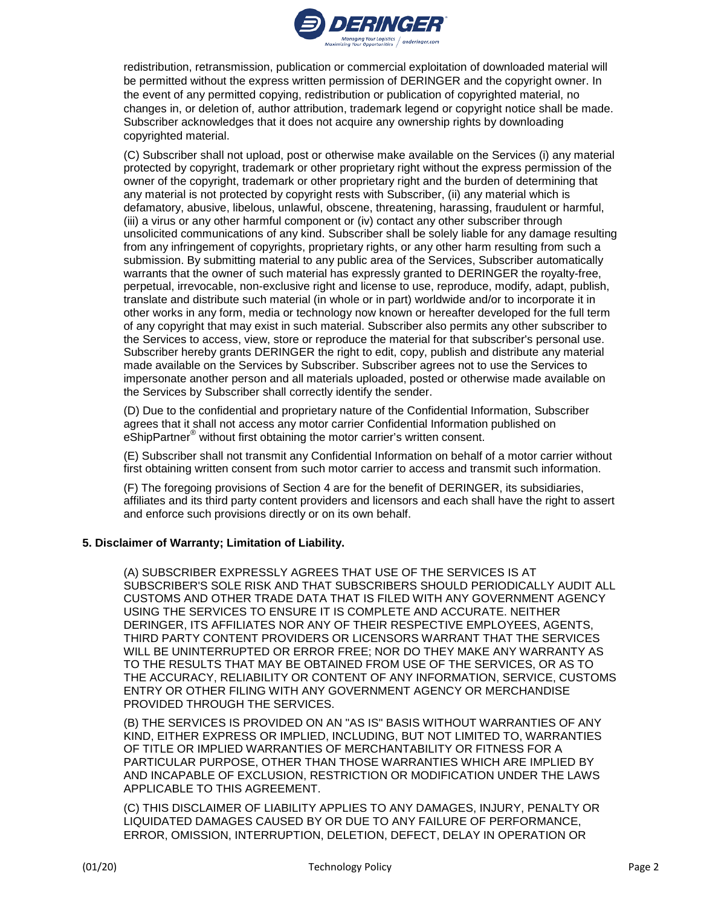

redistribution, retransmission, publication or commercial exploitation of downloaded material will be permitted without the express written permission of DERINGER and the copyright owner. In the event of any permitted copying, redistribution or publication of copyrighted material, no changes in, or deletion of, author attribution, trademark legend or copyright notice shall be made. Subscriber acknowledges that it does not acquire any ownership rights by downloading copyrighted material.

(C) Subscriber shall not upload, post or otherwise make available on the Services (i) any material protected by copyright, trademark or other proprietary right without the express permission of the owner of the copyright, trademark or other proprietary right and the burden of determining that any material is not protected by copyright rests with Subscriber, (ii) any material which is defamatory, abusive, libelous, unlawful, obscene, threatening, harassing, fraudulent or harmful, (iii) a virus or any other harmful component or (iv) contact any other subscriber through unsolicited communications of any kind. Subscriber shall be solely liable for any damage resulting from any infringement of copyrights, proprietary rights, or any other harm resulting from such a submission. By submitting material to any public area of the Services, Subscriber automatically warrants that the owner of such material has expressly granted to DERINGER the royalty-free, perpetual, irrevocable, non-exclusive right and license to use, reproduce, modify, adapt, publish, translate and distribute such material (in whole or in part) worldwide and/or to incorporate it in other works in any form, media or technology now known or hereafter developed for the full term of any copyright that may exist in such material. Subscriber also permits any other subscriber to the Services to access, view, store or reproduce the material for that subscriber's personal use. Subscriber hereby grants DERINGER the right to edit, copy, publish and distribute any material made available on the Services by Subscriber. Subscriber agrees not to use the Services to impersonate another person and all materials uploaded, posted or otherwise made available on the Services by Subscriber shall correctly identify the sender.

(D) Due to the confidential and proprietary nature of the Confidential Information, Subscriber agrees that it shall not access any motor carrier Confidential Information published on eShipPartner® without first obtaining the motor carrier's written consent.

(E) Subscriber shall not transmit any Confidential Information on behalf of a motor carrier without first obtaining written consent from such motor carrier to access and transmit such information.

(F) The foregoing provisions of Section 4 are for the benefit of DERINGER, its subsidiaries, affiliates and its third party content providers and licensors and each shall have the right to assert and enforce such provisions directly or on its own behalf.

## **5. Disclaimer of Warranty; Limitation of Liability.**

(A) SUBSCRIBER EXPRESSLY AGREES THAT USE OF THE SERVICES IS AT SUBSCRIBER'S SOLE RISK AND THAT SUBSCRIBERS SHOULD PERIODICALLY AUDIT ALL CUSTOMS AND OTHER TRADE DATA THAT IS FILED WITH ANY GOVERNMENT AGENCY USING THE SERVICES TO ENSURE IT IS COMPLETE AND ACCURATE. NEITHER DERINGER, ITS AFFILIATES NOR ANY OF THEIR RESPECTIVE EMPLOYEES, AGENTS, THIRD PARTY CONTENT PROVIDERS OR LICENSORS WARRANT THAT THE SERVICES WILL BE UNINTERRUPTED OR ERROR FREE; NOR DO THEY MAKE ANY WARRANTY AS TO THE RESULTS THAT MAY BE OBTAINED FROM USE OF THE SERVICES, OR AS TO THE ACCURACY, RELIABILITY OR CONTENT OF ANY INFORMATION, SERVICE, CUSTOMS ENTRY OR OTHER FILING WITH ANY GOVERNMENT AGENCY OR MERCHANDISE PROVIDED THROUGH THE SERVICES.

(B) THE SERVICES IS PROVIDED ON AN "AS IS" BASIS WITHOUT WARRANTIES OF ANY KIND, EITHER EXPRESS OR IMPLIED, INCLUDING, BUT NOT LIMITED TO, WARRANTIES OF TITLE OR IMPLIED WARRANTIES OF MERCHANTABILITY OR FITNESS FOR A PARTICULAR PURPOSE, OTHER THAN THOSE WARRANTIES WHICH ARE IMPLIED BY AND INCAPABLE OF EXCLUSION, RESTRICTION OR MODIFICATION UNDER THE LAWS APPLICABLE TO THIS AGREEMENT.

(C) THIS DISCLAIMER OF LIABILITY APPLIES TO ANY DAMAGES, INJURY, PENALTY OR LIQUIDATED DAMAGES CAUSED BY OR DUE TO ANY FAILURE OF PERFORMANCE, ERROR, OMISSION, INTERRUPTION, DELETION, DEFECT, DELAY IN OPERATION OR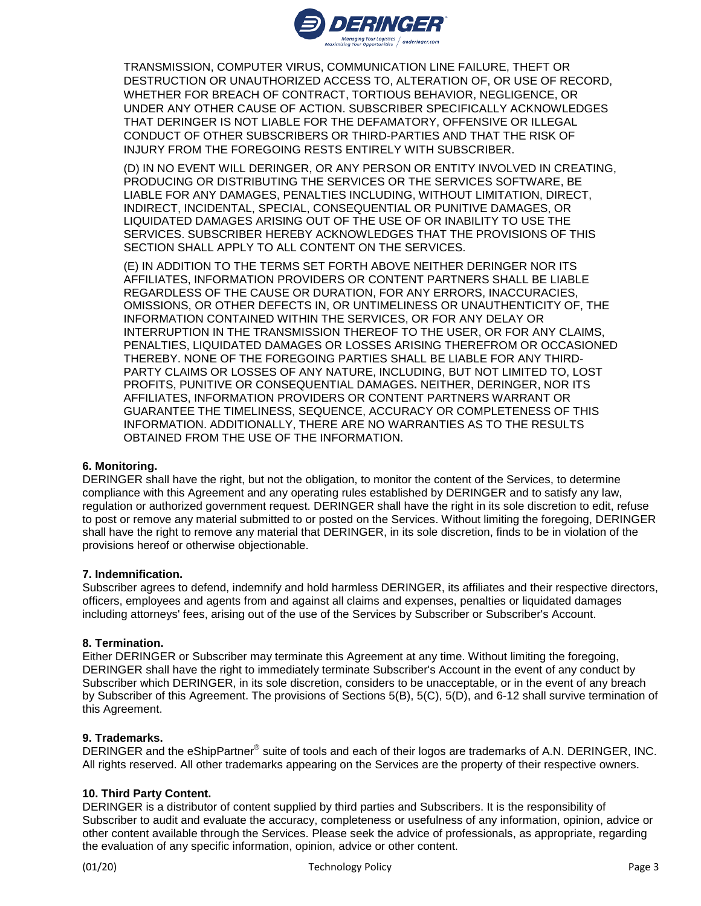

TRANSMISSION, COMPUTER VIRUS, COMMUNICATION LINE FAILURE, THEFT OR DESTRUCTION OR UNAUTHORIZED ACCESS TO, ALTERATION OF, OR USE OF RECORD, WHETHER FOR BREACH OF CONTRACT, TORTIOUS BEHAVIOR, NEGLIGENCE, OR UNDER ANY OTHER CAUSE OF ACTION. SUBSCRIBER SPECIFICALLY ACKNOWLEDGES THAT DERINGER IS NOT LIABLE FOR THE DEFAMATORY, OFFENSIVE OR ILLEGAL CONDUCT OF OTHER SUBSCRIBERS OR THIRD-PARTIES AND THAT THE RISK OF INJURY FROM THE FOREGOING RESTS ENTIRELY WITH SUBSCRIBER.

(D) IN NO EVENT WILL DERINGER, OR ANY PERSON OR ENTITY INVOLVED IN CREATING, PRODUCING OR DISTRIBUTING THE SERVICES OR THE SERVICES SOFTWARE, BE LIABLE FOR ANY DAMAGES, PENALTIES INCLUDING, WITHOUT LIMITATION, DIRECT, INDIRECT, INCIDENTAL, SPECIAL, CONSEQUENTIAL OR PUNITIVE DAMAGES, OR LIQUIDATED DAMAGES ARISING OUT OF THE USE OF OR INABILITY TO USE THE SERVICES. SUBSCRIBER HEREBY ACKNOWLEDGES THAT THE PROVISIONS OF THIS SECTION SHALL APPLY TO ALL CONTENT ON THE SERVICES.

(E) IN ADDITION TO THE TERMS SET FORTH ABOVE NEITHER DERINGER NOR ITS AFFILIATES, INFORMATION PROVIDERS OR CONTENT PARTNERS SHALL BE LIABLE REGARDLESS OF THE CAUSE OR DURATION, FOR ANY ERRORS, INACCURACIES, OMISSIONS, OR OTHER DEFECTS IN, OR UNTIMELINESS OR UNAUTHENTICITY OF, THE INFORMATION CONTAINED WITHIN THE SERVICES, OR FOR ANY DELAY OR INTERRUPTION IN THE TRANSMISSION THEREOF TO THE USER, OR FOR ANY CLAIMS, PENALTIES, LIQUIDATED DAMAGES OR LOSSES ARISING THEREFROM OR OCCASIONED THEREBY. NONE OF THE FOREGOING PARTIES SHALL BE LIABLE FOR ANY THIRD-PARTY CLAIMS OR LOSSES OF ANY NATURE, INCLUDING, BUT NOT LIMITED TO, LOST PROFITS, PUNITIVE OR CONSEQUENTIAL DAMAGES**.** NEITHER, DERINGER, NOR ITS AFFILIATES, INFORMATION PROVIDERS OR CONTENT PARTNERS WARRANT OR GUARANTEE THE TIMELINESS, SEQUENCE, ACCURACY OR COMPLETENESS OF THIS INFORMATION. ADDITIONALLY, THERE ARE NO WARRANTIES AS TO THE RESULTS OBTAINED FROM THE USE OF THE INFORMATION.

## **6. Monitoring.**

DERINGER shall have the right, but not the obligation, to monitor the content of the Services, to determine compliance with this Agreement and any operating rules established by DERINGER and to satisfy any law, regulation or authorized government request. DERINGER shall have the right in its sole discretion to edit, refuse to post or remove any material submitted to or posted on the Services. Without limiting the foregoing, DERINGER shall have the right to remove any material that DERINGER, in its sole discretion, finds to be in violation of the provisions hereof or otherwise objectionable.

## **7. Indemnification.**

Subscriber agrees to defend, indemnify and hold harmless DERINGER, its affiliates and their respective directors, officers, employees and agents from and against all claims and expenses, penalties or liquidated damages including attorneys' fees, arising out of the use of the Services by Subscriber or Subscriber's Account.

## **8. Termination.**

Either DERINGER or Subscriber may terminate this Agreement at any time. Without limiting the foregoing, DERINGER shall have the right to immediately terminate Subscriber's Account in the event of any conduct by Subscriber which DERINGER, in its sole discretion, considers to be unacceptable, or in the event of any breach by Subscriber of this Agreement. The provisions of Sections 5(B), 5(C), 5(D), and 6-12 shall survive termination of this Agreement.

## **9. Trademarks.**

DERINGER and the eShipPartner<sup>®</sup> suite of tools and each of their logos are trademarks of A.N. DERINGER, INC. All rights reserved. All other trademarks appearing on the Services are the property of their respective owners.

## **10. Third Party Content.**

DERINGER is a distributor of content supplied by third parties and Subscribers. It is the responsibility of Subscriber to audit and evaluate the accuracy, completeness or usefulness of any information, opinion, advice or other content available through the Services. Please seek the advice of professionals, as appropriate, regarding the evaluation of any specific information, opinion, advice or other content.